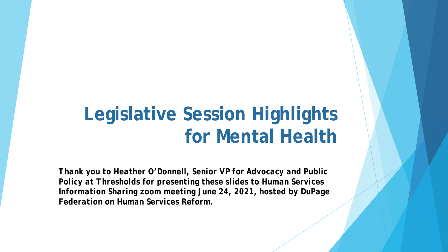# **Legislative Session Highlights for Mental Health**

*Thank you to Heather O'Donnell, Senior VP for Advocacy and Public Policy at Thresholds for presenting these slides to Human Services Information Sharing zoom meeting June 24, 2021, hosted by DuPage Federation on Human Services Reform.*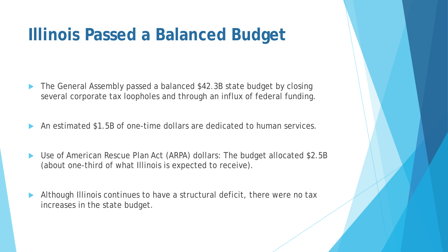#### **Illinois Passed a Balanced Budget**

- The General Assembly passed a balanced \$42.3B state budget by closing several corporate tax loopholes and through an influx of federal funding.
- An estimated \$1.5B of one-time dollars are dedicated to human services.
- Use of American Rescue Plan Act (ARPA) dollars: The budget allocated \$2.5B (about one-third of what Illinois is expected to receive).
- Although Illinois continues to have a structural deficit, there were no tax increases in the state budget.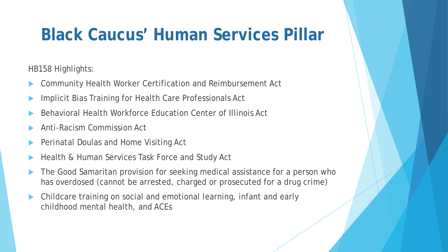## **Black Caucus' Human Services Pillar**

HB158 Highlights:

- Community Health Worker Certification and Reimbursement Act
- Implicit Bias Training for Health Care Professionals Act
- Behavioral Health Workforce Education Center of Illinois Act
- Anti-Racism Commission Act
- Perinatal Doulas and Home Visiting Act
- Health & Human Services Task Force and Study Act
- The Good Samaritan provision for seeking medical assistance for a person who has overdosed (cannot be arrested, charged or prosecuted for a drug crime)
- Childcare training on social and emotional learning, infant and early childhood mental health, and ACEs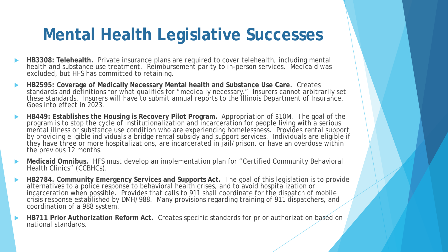### **Mental Health Legislative Successes**

- **HB3308: Telehealth.** Private insurance plans are required to cover telehealth, including mental health and substance use treatment. Reimbursement parity to in-person services. Medicaid was excluded, but HFS has committed to retaining.
- **HB2595: Coverage of Medically Necessary Mental health and Substance Use Care.** Creates standards and definitions for what qualifies for "medically necessary." Insurers cannot arbitrarily set these standards. Insurers will have to submit annual reports to the Illinois Department of Insurance. Goes into effect in 2023.
- **HB449: Establishes the Housing is Recovery Pilot Program.** Appropriation of \$10M. The goal of the program is to stop the cycle of institutionalization and incarceration for people living with a serious mental illness or substance use condition who are experiencing homelessness. Provides rental support by providing eligible individuals a bridge rental subsidy and support services. Individuals are eligible if they have three or more hospitalizations, are incarcerated in jail/prison, or have an overdose within the previous 12 months.
- Medicaid Omnibus. HFS must develop an implementation plan for "Certified Community Behavioral Health Clinics" (CCBHCs).
- **HB2784. Community Emergency Services and Supports Act.** The goal of this legislation is to provide alternatives to a police response to behavioral health crises, and to avoid hospitalization or incarceration when possible. Provides that calls to 911 shall coordinate for the dispatch of mobile crisis response established by DMH/988. Many provisions regarding training of 911 dispatchers, and coordination of a 988 system.
- **HB711 Prior Authorization Reform Act.** Creates specific standards for prior authorization based on national standards.